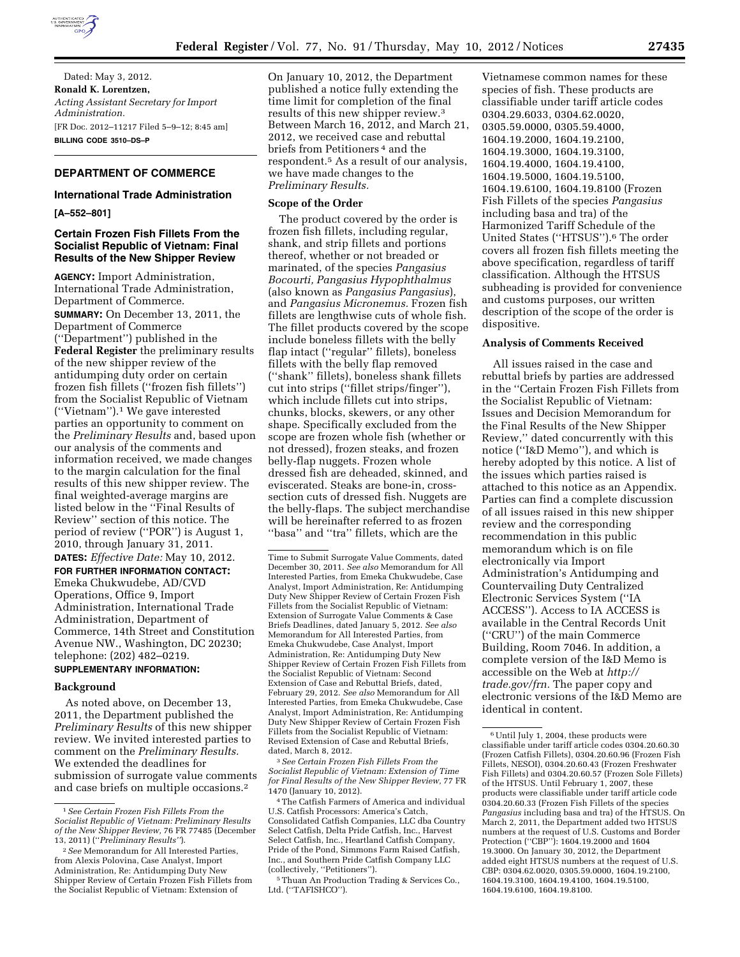

Dated: May 3, 2012. **Ronald K. Lorentzen,**  *Acting Assistant Secretary for Import Administration.*  [FR Doc. 2012–11217 Filed 5–9–12; 8:45 am] **BILLING CODE 3510–DS–P** 

## **DEPARTMENT OF COMMERCE**

### **International Trade Administration**

**[A–552–801]** 

### **Certain Frozen Fish Fillets From the Socialist Republic of Vietnam: Final Results of the New Shipper Review**

**AGENCY:** Import Administration, International Trade Administration, Department of Commerce. **SUMMARY:** On December 13, 2011, the Department of Commerce (''Department'') published in the **Federal Register** the preliminary results of the new shipper review of the antidumping duty order on certain frozen fish fillets (''frozen fish fillets'') from the Socialist Republic of Vietnam (''Vietnam'').1 We gave interested parties an opportunity to comment on the *Preliminary Results* and, based upon our analysis of the comments and information received, we made changes to the margin calculation for the final results of this new shipper review. The final weighted-average margins are listed below in the ''Final Results of Review'' section of this notice. The period of review (''POR'') is August 1, 2010, through January 31, 2011.

# **DATES:** *Effective Date:* May 10, 2012. **FOR FURTHER INFORMATION CONTACT:**  Emeka Chukwudebe, AD/CVD Operations, Office 9, Import Administration, International Trade Administration, Department of Commerce, 14th Street and Constitution Avenue NW., Washington, DC 20230; telephone: (202) 482–0219.

# **SUPPLEMENTARY INFORMATION:**

#### **Background**

As noted above, on December 13, 2011, the Department published the *Preliminary Results* of this new shipper review. We invited interested parties to comment on the *Preliminary Results.*  We extended the deadlines for submission of surrogate value comments and case briefs on multiple occasions.2

On January 10, 2012, the Department published a notice fully extending the time limit for completion of the final results of this new shipper review.3 Between March 16, 2012, and March 21, 2012, we received case and rebuttal briefs from Petitioners 4 and the respondent.5 As a result of our analysis, we have made changes to the *Preliminary Results.* 

#### **Scope of the Order**

The product covered by the order is frozen fish fillets, including regular, shank, and strip fillets and portions thereof, whether or not breaded or marinated, of the species *Pangasius Bocourti, Pangasius Hypophthalmus*  (also known as *Pangasius Pangasius*), and *Pangasius Micronemus.* Frozen fish fillets are lengthwise cuts of whole fish. The fillet products covered by the scope include boneless fillets with the belly flap intact (''regular'' fillets), boneless fillets with the belly flap removed (''shank'' fillets), boneless shank fillets cut into strips (''fillet strips/finger''), which include fillets cut into strips, chunks, blocks, skewers, or any other shape. Specifically excluded from the scope are frozen whole fish (whether or not dressed), frozen steaks, and frozen belly-flap nuggets. Frozen whole dressed fish are deheaded, skinned, and eviscerated. Steaks are bone-in, crosssection cuts of dressed fish. Nuggets are the belly-flaps. The subject merchandise will be hereinafter referred to as frozen ''basa'' and ''tra'' fillets, which are the

3*See Certain Frozen Fish Fillets From the Socialist Republic of Vietnam: Extension of Time for Final Results of the New Shipper Review,* 77 FR 1470 (January 10, 2012).

Vietnamese common names for these species of fish. These products are classifiable under tariff article codes 0304.29.6033, 0304.62.0020, 0305.59.0000, 0305.59.4000, 1604.19.2000, 1604.19.2100, 1604.19.3000, 1604.19.3100, 1604.19.4000, 1604.19.4100, 1604.19.5000, 1604.19.5100, 1604.19.6100, 1604.19.8100 (Frozen Fish Fillets of the species *Pangasius*  including basa and tra) of the Harmonized Tariff Schedule of the United States (''HTSUS'').6 The order covers all frozen fish fillets meeting the above specification, regardless of tariff classification. Although the HTSUS subheading is provided for convenience and customs purposes, our written description of the scope of the order is dispositive.

#### **Analysis of Comments Received**

All issues raised in the case and rebuttal briefs by parties are addressed in the ''Certain Frozen Fish Fillets from the Socialist Republic of Vietnam: Issues and Decision Memorandum for the Final Results of the New Shipper Review,'' dated concurrently with this notice (''I&D Memo''), and which is hereby adopted by this notice. A list of the issues which parties raised is attached to this notice as an Appendix. Parties can find a complete discussion of all issues raised in this new shipper review and the corresponding recommendation in this public memorandum which is on file electronically via Import Administration's Antidumping and Countervailing Duty Centralized Electronic Services System (''IA ACCESS''). Access to IA ACCESS is available in the Central Records Unit (''CRU'') of the main Commerce Building, Room 7046. In addition, a complete version of the I&D Memo is accessible on the Web at *[http://](http://trade.gov/frn)  [trade.gov/frn.](http://trade.gov/frn)* The paper copy and electronic versions of the I&D Memo are identical in content.

<sup>1</sup>*See Certain Frozen Fish Fillets From the Socialist Republic of Vietnam: Preliminary Results of the New Shipper Review,* 76 FR 77485 (December 13, 2011) (''*Preliminary Results''*).

<sup>2</sup>*See* Memorandum for All Interested Parties, from Alexis Polovina, Case Analyst, Import Administration, Re: Antidumping Duty New Shipper Review of Certain Frozen Fish Fillets from the Socialist Republic of Vietnam: Extension of

Time to Submit Surrogate Value Comments, dated December 30, 2011. *See also* Memorandum for All Interested Parties, from Emeka Chukwudebe, Case Analyst, Import Administration, Re: Antidumping Duty New Shipper Review of Certain Frozen Fish Fillets from the Socialist Republic of Vietnam: Extension of Surrogate Value Comments & Case Briefs Deadlines, dated January 5, 2012. *See also*  Memorandum for All Interested Parties, from Emeka Chukwudebe, Case Analyst, Import Administration, Re: Antidumping Duty New Shipper Review of Certain Frozen Fish Fillets from the Socialist Republic of Vietnam: Second Extension of Case and Rebuttal Briefs, dated, February 29, 2012. *See also* Memorandum for All Interested Parties, from Emeka Chukwudebe, Case Analyst, Import Administration, Re: Antidumping Duty New Shipper Review of Certain Frozen Fish Fillets from the Socialist Republic of Vietnam: Revised Extension of Case and Rebuttal Briefs, dated, March 8, 2012.

<sup>4</sup>The Catfish Farmers of America and individual U.S. Catfish Processors: America's Catch, Consolidated Catfish Companies, LLC dba Country Select Catfish, Delta Pride Catfish, Inc., Harvest Select Catfish, Inc., Heartland Catfish Company, Pride of the Pond, Simmons Farm Raised Catfish, Inc., and Southern Pride Catfish Company LLC (collectively, ''Petitioners'').

<sup>5</sup>Thuan An Production Trading & Services Co., Ltd. (''TAFISHCO'').

 $^{\rm 6}$  Until July 1, 2004, these products were classifiable under tariff article codes 0304.20.60.30 (Frozen Catfish Fillets), 0304.20.60.96 (Frozen Fish Fillets, NESOI), 0304.20.60.43 (Frozen Freshwater Fish Fillets) and 0304.20.60.57 (Frozen Sole Fillets) of the HTSUS. Until February 1, 2007, these products were classifiable under tariff article code 0304.20.60.33 (Frozen Fish Fillets of the species *Pangasius* including basa and tra) of the HTSUS. On March 2, 2011, the Department added two HTSUS numbers at the request of U.S. Customs and Border Protection (''CBP''): 1604.19.2000 and 1604 19.3000. On January 30, 2012, the Department added eight HTSUS numbers at the request of U.S. CBP: 0304.62.0020, 0305.59.0000, 1604.19.2100, 1604.19.3100, 1604.19.4100, 1604.19.5100, 1604.19.6100, 1604.19.8100.